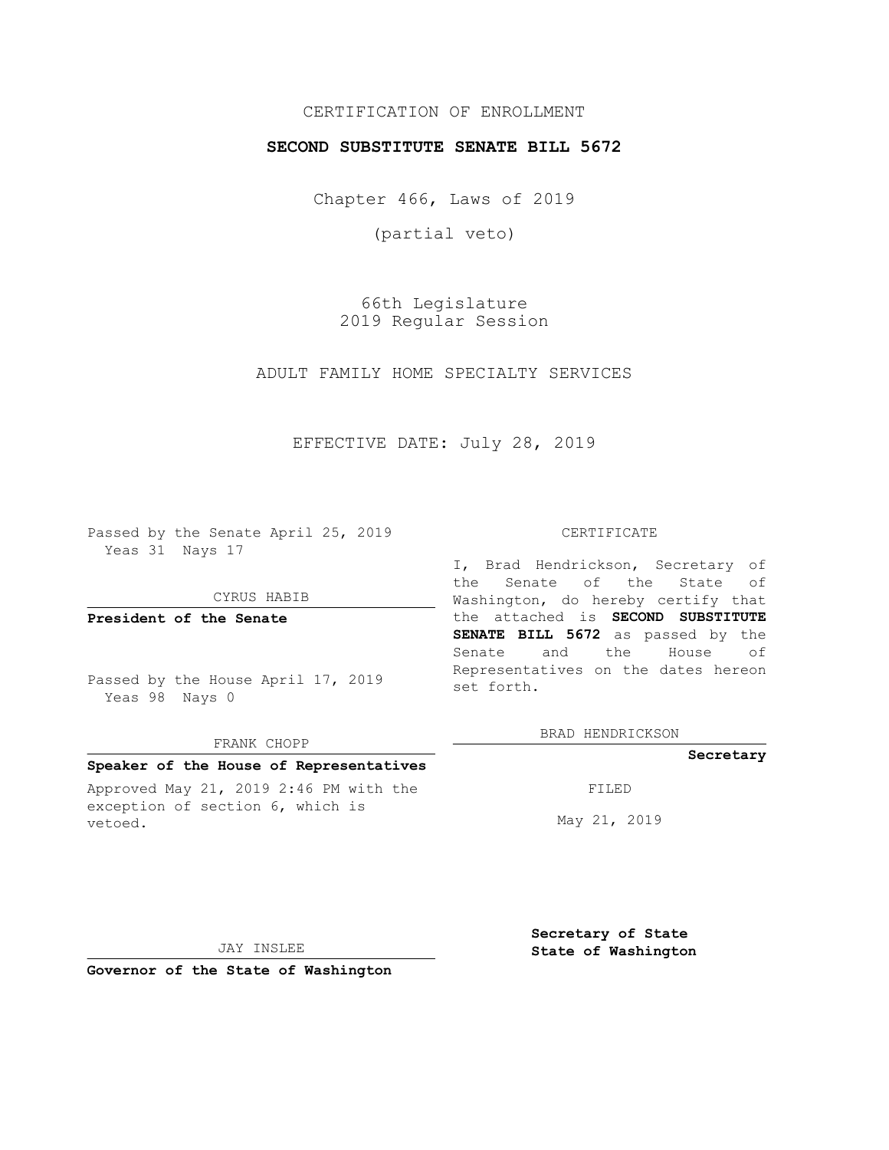# CERTIFICATION OF ENROLLMENT

### **SECOND SUBSTITUTE SENATE BILL 5672**

Chapter 466, Laws of 2019

(partial veto)

66th Legislature 2019 Regular Session

ADULT FAMILY HOME SPECIALTY SERVICES

# EFFECTIVE DATE: July 28, 2019

Passed by the Senate April 25, 2019 Yeas 31 Nays 17

#### CYRUS HABIB

**President of the Senate**

Passed by the House April 17, 2019 Yeas 98 Nays 0

#### FRANK CHOPP

### **Speaker of the House of Representatives**

Approved May 21, 2019 2:46 PM with the exception of section 6, which is vetoed.

#### CERTIFICATE

I, Brad Hendrickson, Secretary of the Senate of the State of Washington, do hereby certify that the attached is **SECOND SUBSTITUTE SENATE BILL 5672** as passed by the Senate and the House of Representatives on the dates hereon set forth.

BRAD HENDRICKSON

### **Secretary**

FILED

May 21, 2019

JAY INSLEE

**Secretary of State State of Washington**

**Governor of the State of Washington**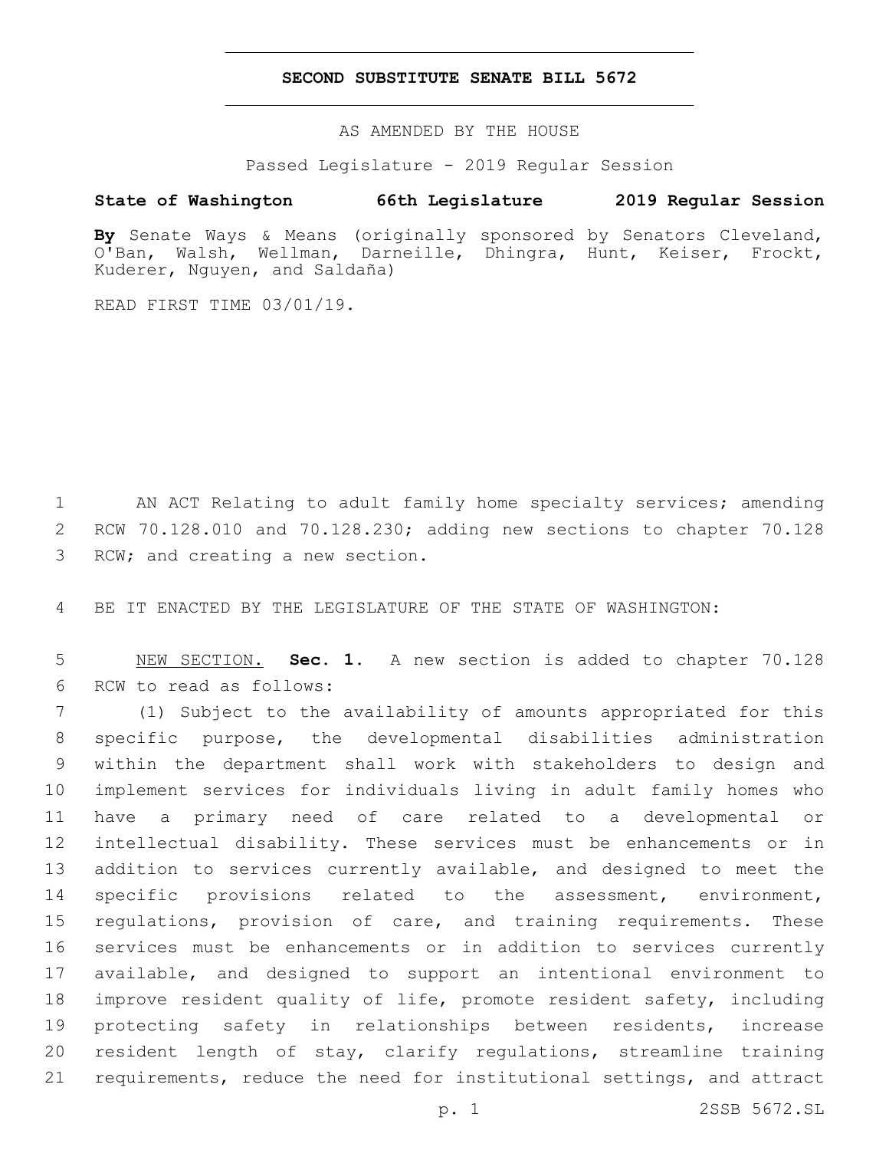### **SECOND SUBSTITUTE SENATE BILL 5672**

AS AMENDED BY THE HOUSE

Passed Legislature - 2019 Regular Session

# **State of Washington 66th Legislature 2019 Regular Session**

**By** Senate Ways & Means (originally sponsored by Senators Cleveland, O'Ban, Walsh, Wellman, Darneille, Dhingra, Hunt, Keiser, Frockt, Kuderer, Nguyen, and Saldaña)

READ FIRST TIME 03/01/19.

1 AN ACT Relating to adult family home specialty services; amending 2 RCW 70.128.010 and 70.128.230; adding new sections to chapter 70.128 3 RCW; and creating a new section.

4 BE IT ENACTED BY THE LEGISLATURE OF THE STATE OF WASHINGTON:

5 NEW SECTION. **Sec. 1.** A new section is added to chapter 70.128 6 RCW to read as follows:

 (1) Subject to the availability of amounts appropriated for this specific purpose, the developmental disabilities administration within the department shall work with stakeholders to design and implement services for individuals living in adult family homes who have a primary need of care related to a developmental or intellectual disability. These services must be enhancements or in addition to services currently available, and designed to meet the 14 specific provisions related to the assessment, environment, 15 regulations, provision of care, and training requirements. These services must be enhancements or in addition to services currently available, and designed to support an intentional environment to improve resident quality of life, promote resident safety, including protecting safety in relationships between residents, increase resident length of stay, clarify regulations, streamline training requirements, reduce the need for institutional settings, and attract

p. 1 2SSB 5672.SL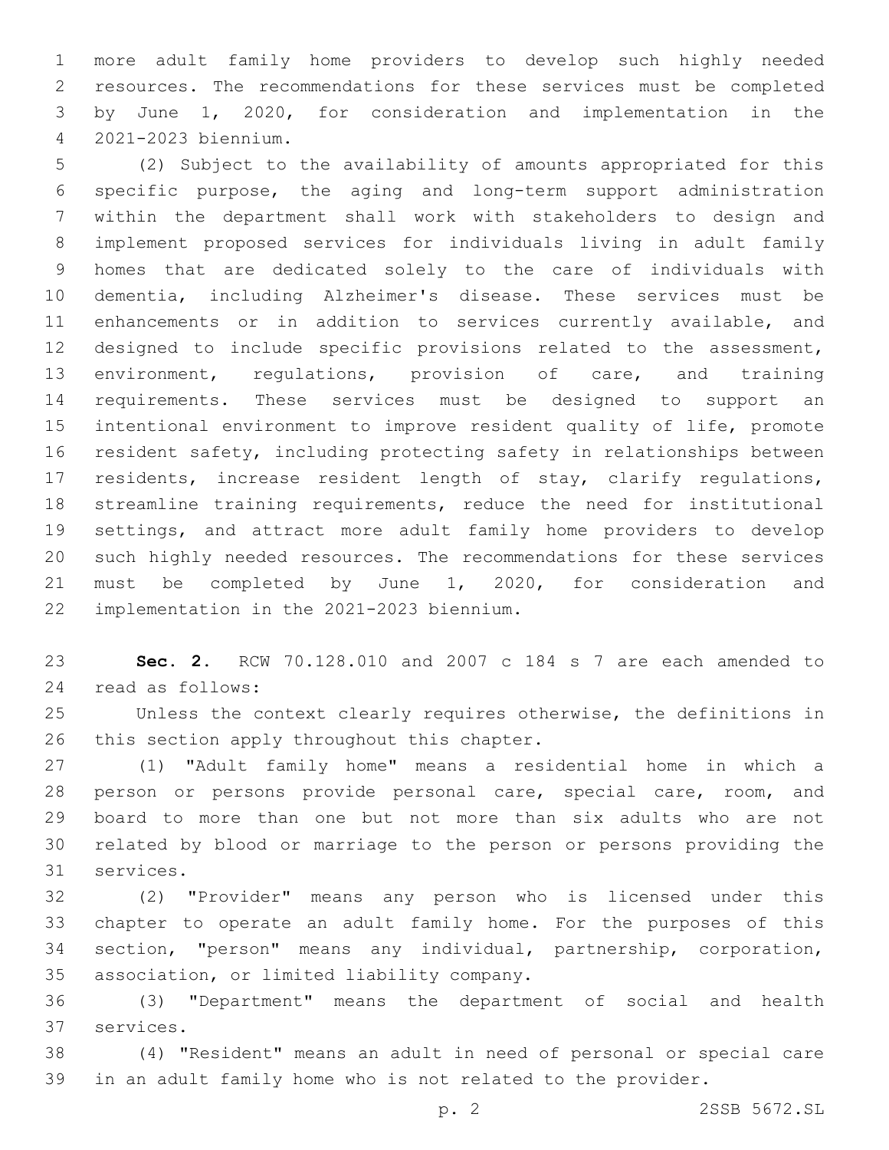more adult family home providers to develop such highly needed resources. The recommendations for these services must be completed by June 1, 2020, for consideration and implementation in the 2021-2023 biennium.4

 (2) Subject to the availability of amounts appropriated for this specific purpose, the aging and long-term support administration within the department shall work with stakeholders to design and implement proposed services for individuals living in adult family homes that are dedicated solely to the care of individuals with dementia, including Alzheimer's disease. These services must be enhancements or in addition to services currently available, and designed to include specific provisions related to the assessment, environment, regulations, provision of care, and training requirements. These services must be designed to support an intentional environment to improve resident quality of life, promote resident safety, including protecting safety in relationships between residents, increase resident length of stay, clarify regulations, streamline training requirements, reduce the need for institutional settings, and attract more adult family home providers to develop such highly needed resources. The recommendations for these services must be completed by June 1, 2020, for consideration and implementation in the 2021-2023 biennium.22

 **Sec. 2.** RCW 70.128.010 and 2007 c 184 s 7 are each amended to 24 read as follows:

 Unless the context clearly requires otherwise, the definitions in 26 this section apply throughout this chapter.

 (1) "Adult family home" means a residential home in which a person or persons provide personal care, special care, room, and board to more than one but not more than six adults who are not related by blood or marriage to the person or persons providing the 31 services.

 (2) "Provider" means any person who is licensed under this chapter to operate an adult family home. For the purposes of this section, "person" means any individual, partnership, corporation, association, or limited liability company.35

 (3) "Department" means the department of social and health 37 services.

 (4) "Resident" means an adult in need of personal or special care in an adult family home who is not related to the provider.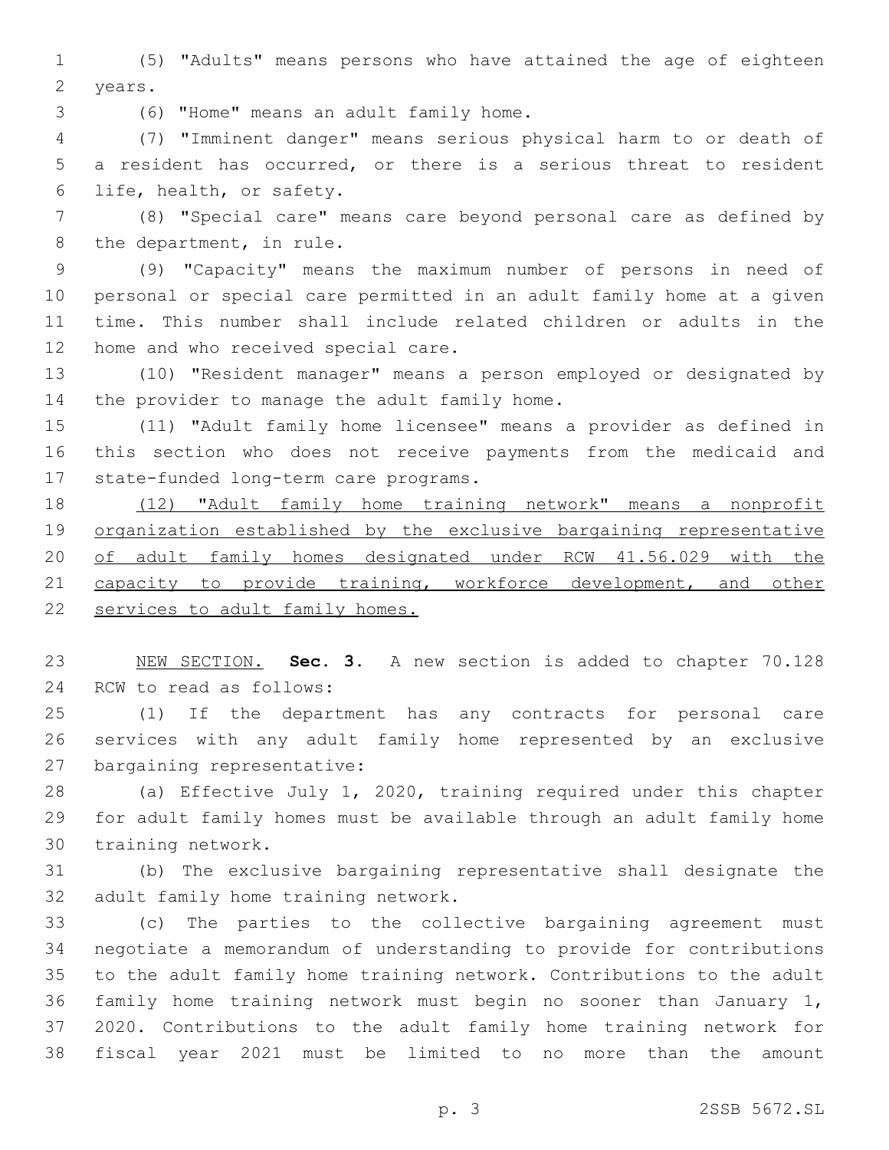(5) "Adults" means persons who have attained the age of eighteen 2 years.

(6) "Home" means an adult family home.3

 (7) "Imminent danger" means serious physical harm to or death of a resident has occurred, or there is a serious threat to resident 6 life, health, or safety.

 (8) "Special care" means care beyond personal care as defined by 8 the department, in rule.

 (9) "Capacity" means the maximum number of persons in need of personal or special care permitted in an adult family home at a given time. This number shall include related children or adults in the 12 home and who received special care.

 (10) "Resident manager" means a person employed or designated by 14 the provider to manage the adult family home.

 (11) "Adult family home licensee" means a provider as defined in this section who does not receive payments from the medicaid and 17 state-funded long-term care programs.

 (12) "Adult family home training network" means a nonprofit organization established by the exclusive bargaining representative of adult family homes designated under RCW 41.56.029 with the 21 capacity to provide training, workforce development, and other services to adult family homes.

 NEW SECTION. **Sec. 3.** A new section is added to chapter 70.128 24 RCW to read as follows:

 (1) If the department has any contracts for personal care services with any adult family home represented by an exclusive 27 bargaining representative:

 (a) Effective July 1, 2020, training required under this chapter for adult family homes must be available through an adult family home 30 training network.

 (b) The exclusive bargaining representative shall designate the 32 adult family home training network.

 (c) The parties to the collective bargaining agreement must negotiate a memorandum of understanding to provide for contributions to the adult family home training network. Contributions to the adult family home training network must begin no sooner than January 1, 2020. Contributions to the adult family home training network for fiscal year 2021 must be limited to no more than the amount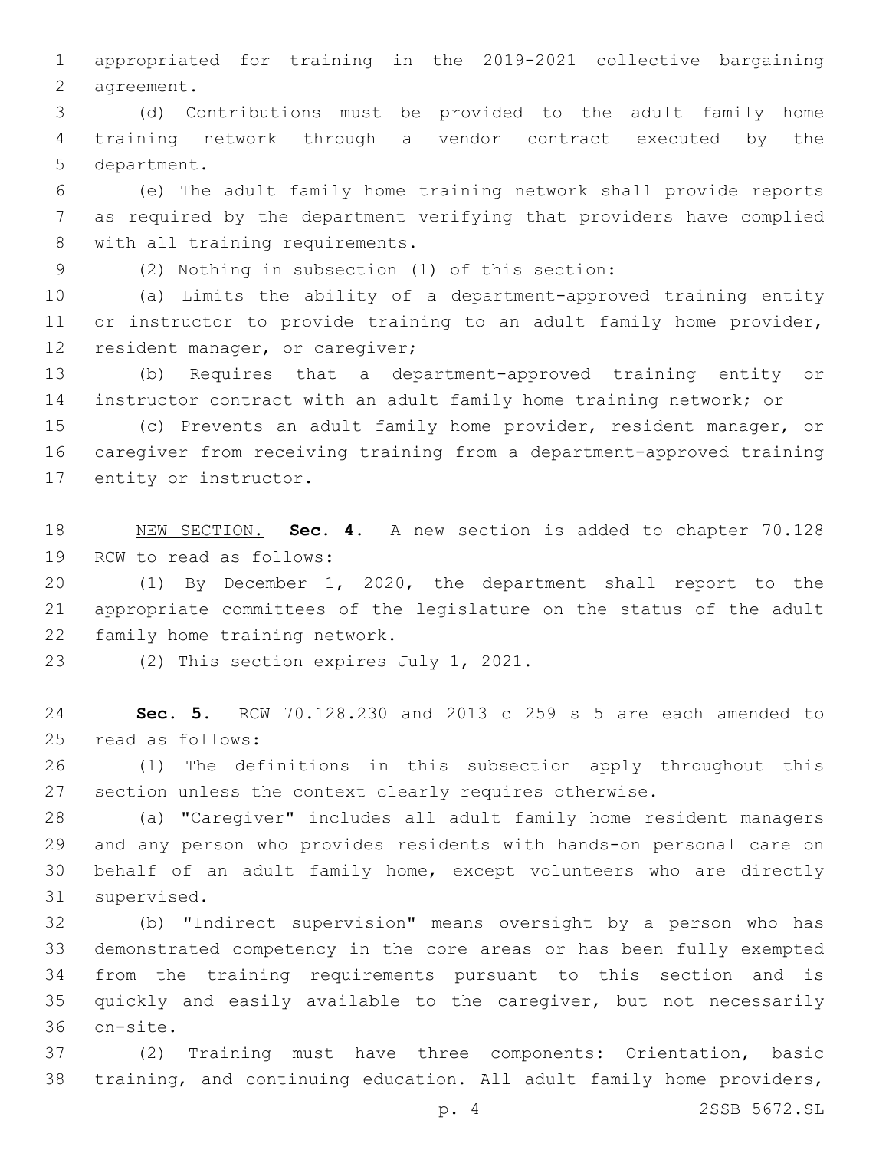appropriated for training in the 2019-2021 collective bargaining 2 agreement.

 (d) Contributions must be provided to the adult family home training network through a vendor contract executed by the 5 department.

 (e) The adult family home training network shall provide reports as required by the department verifying that providers have complied 8 with all training requirements.

(2) Nothing in subsection (1) of this section:9

 (a) Limits the ability of a department-approved training entity 11 or instructor to provide training to an adult family home provider, 12 resident manager, or caregiver;

 (b) Requires that a department-approved training entity or instructor contract with an adult family home training network; or

 (c) Prevents an adult family home provider, resident manager, or caregiver from receiving training from a department-approved training 17 entity or instructor.

 NEW SECTION. **Sec. 4.** A new section is added to chapter 70.128 19 RCW to read as follows:

 (1) By December 1, 2020, the department shall report to the appropriate committees of the legislature on the status of the adult 22 family home training network.

23 (2) This section expires July 1, 2021.

 **Sec. 5.** RCW 70.128.230 and 2013 c 259 s 5 are each amended to 25 read as follows:

 (1) The definitions in this subsection apply throughout this section unless the context clearly requires otherwise.

 (a) "Caregiver" includes all adult family home resident managers and any person who provides residents with hands-on personal care on behalf of an adult family home, except volunteers who are directly 31 supervised.

 (b) "Indirect supervision" means oversight by a person who has demonstrated competency in the core areas or has been fully exempted from the training requirements pursuant to this section and is quickly and easily available to the caregiver, but not necessarily 36 on-site.

 (2) Training must have three components: Orientation, basic training, and continuing education. All adult family home providers,

p. 4 2SSB 5672.SL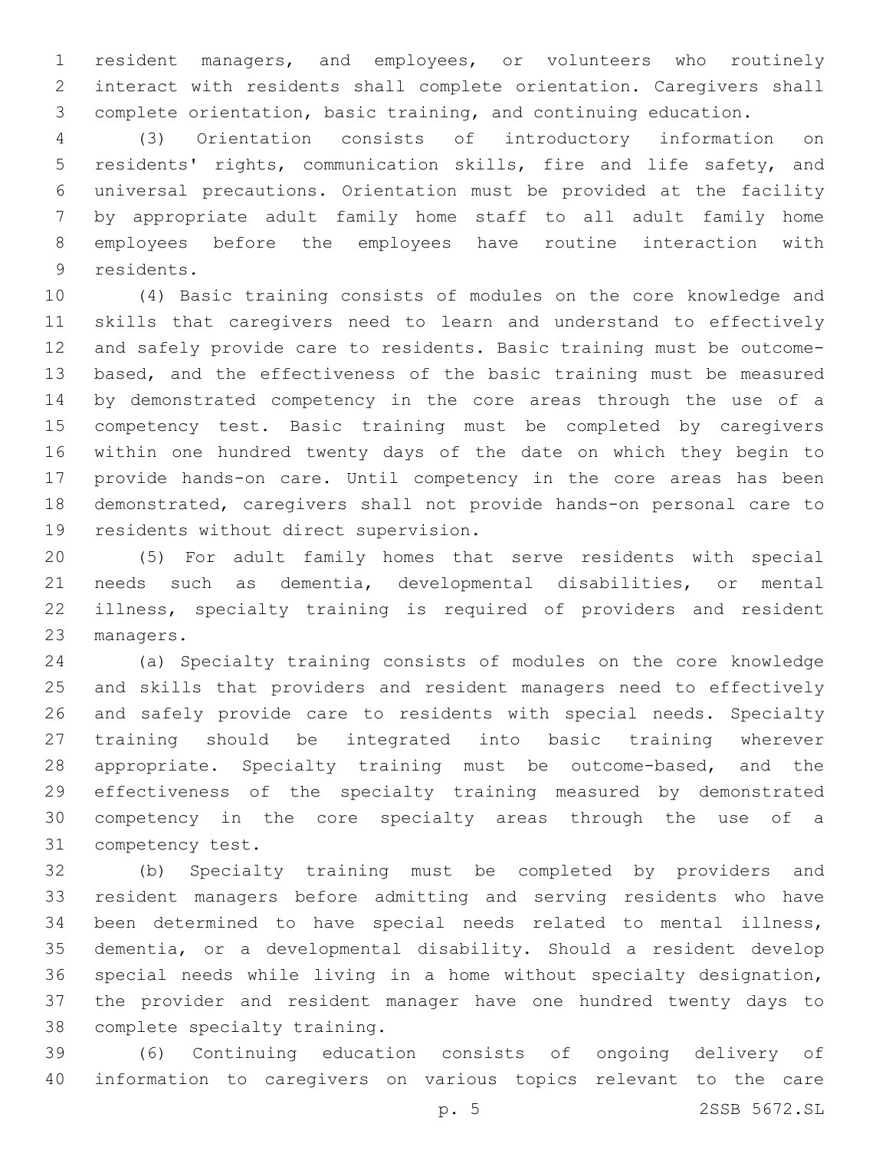resident managers, and employees, or volunteers who routinely interact with residents shall complete orientation. Caregivers shall complete orientation, basic training, and continuing education.

 (3) Orientation consists of introductory information on residents' rights, communication skills, fire and life safety, and universal precautions. Orientation must be provided at the facility by appropriate adult family home staff to all adult family home employees before the employees have routine interaction with 9 residents.

 (4) Basic training consists of modules on the core knowledge and skills that caregivers need to learn and understand to effectively and safely provide care to residents. Basic training must be outcome- based, and the effectiveness of the basic training must be measured by demonstrated competency in the core areas through the use of a competency test. Basic training must be completed by caregivers within one hundred twenty days of the date on which they begin to provide hands-on care. Until competency in the core areas has been demonstrated, caregivers shall not provide hands-on personal care to 19 residents without direct supervision.

 (5) For adult family homes that serve residents with special needs such as dementia, developmental disabilities, or mental illness, specialty training is required of providers and resident 23 managers.

 (a) Specialty training consists of modules on the core knowledge and skills that providers and resident managers need to effectively and safely provide care to residents with special needs. Specialty training should be integrated into basic training wherever appropriate. Specialty training must be outcome-based, and the effectiveness of the specialty training measured by demonstrated competency in the core specialty areas through the use of a 31 competency test.

 (b) Specialty training must be completed by providers and resident managers before admitting and serving residents who have been determined to have special needs related to mental illness, dementia, or a developmental disability. Should a resident develop special needs while living in a home without specialty designation, the provider and resident manager have one hundred twenty days to 38 complete specialty training.

 (6) Continuing education consists of ongoing delivery of information to caregivers on various topics relevant to the care

p. 5 2SSB 5672.SL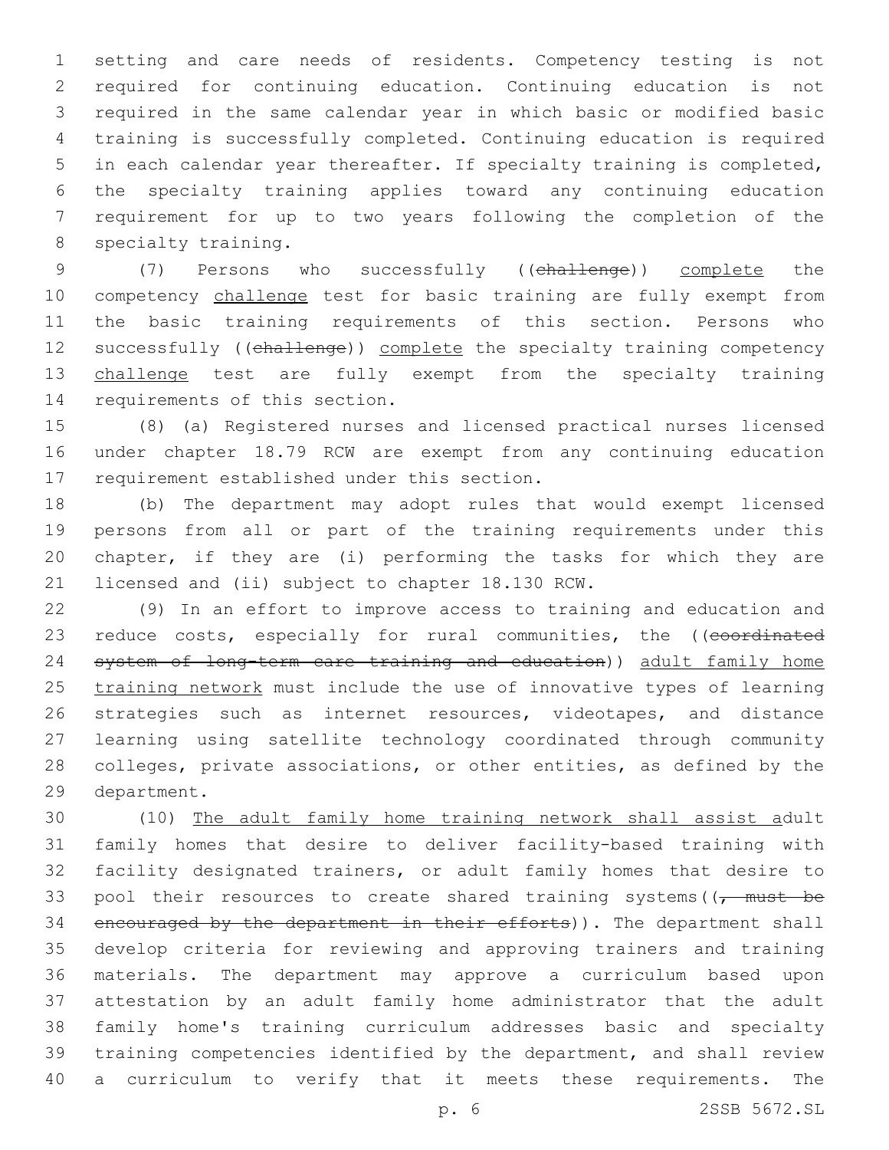setting and care needs of residents. Competency testing is not required for continuing education. Continuing education is not required in the same calendar year in which basic or modified basic training is successfully completed. Continuing education is required in each calendar year thereafter. If specialty training is completed, the specialty training applies toward any continuing education requirement for up to two years following the completion of the 8 specialty training.

 (7) Persons who successfully ((challenge)) complete the 10 competency challenge test for basic training are fully exempt from the basic training requirements of this section. Persons who 12 successfully ((challenge)) complete the specialty training competency 13 challenge test are fully exempt from the specialty training 14 requirements of this section.

 (8) (a) Registered nurses and licensed practical nurses licensed under chapter 18.79 RCW are exempt from any continuing education 17 requirement established under this section.

 (b) The department may adopt rules that would exempt licensed persons from all or part of the training requirements under this chapter, if they are (i) performing the tasks for which they are 21 licensed and (ii) subject to chapter 18.130 RCW.

 (9) In an effort to improve access to training and education and 23 reduce costs, especially for rural communities, the ((coordinated system of long-term care training and education)) adult family home 25 training network must include the use of innovative types of learning strategies such as internet resources, videotapes, and distance learning using satellite technology coordinated through community colleges, private associations, or other entities, as defined by the 29 department.

 (10) The adult family home training network shall assist adult family homes that desire to deliver facility-based training with facility designated trainers, or adult family homes that desire to 33 pool their resources to create shared training systems ( $\sqrt{t}$  must be 34 encouraged by the department in their efforts)). The department shall develop criteria for reviewing and approving trainers and training materials. The department may approve a curriculum based upon attestation by an adult family home administrator that the adult family home's training curriculum addresses basic and specialty training competencies identified by the department, and shall review a curriculum to verify that it meets these requirements. The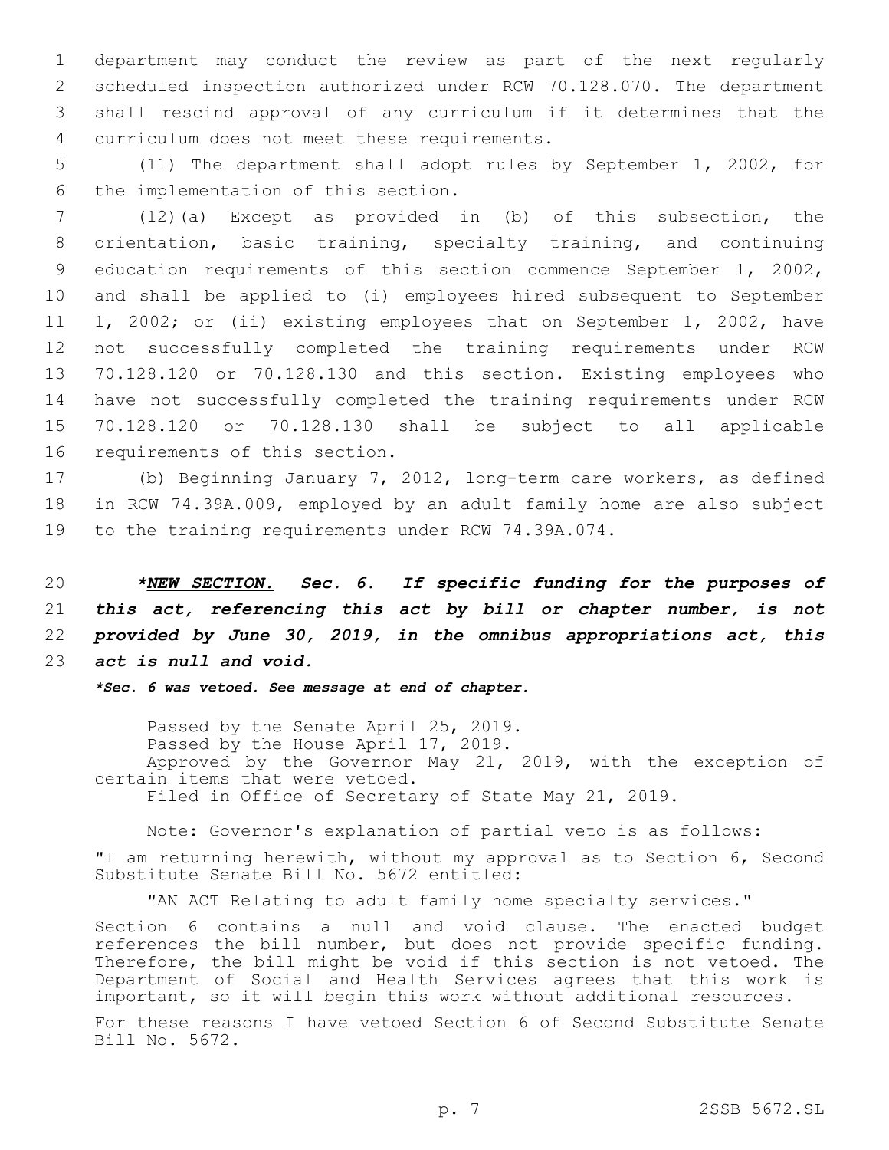department may conduct the review as part of the next regularly scheduled inspection authorized under RCW 70.128.070. The department shall rescind approval of any curriculum if it determines that the curriculum does not meet these requirements.4

5 (11) The department shall adopt rules by September 1, 2002, for 6 the implementation of this section.

 (12)(a) Except as provided in (b) of this subsection, the orientation, basic training, specialty training, and continuing education requirements of this section commence September 1, 2002, and shall be applied to (i) employees hired subsequent to September 1, 2002; or (ii) existing employees that on September 1, 2002, have not successfully completed the training requirements under RCW 70.128.120 or 70.128.130 and this section. Existing employees who have not successfully completed the training requirements under RCW 70.128.120 or 70.128.130 shall be subject to all applicable 16 requirements of this section.

17 (b) Beginning January 7, 2012, long-term care workers, as defined 18 in RCW 74.39A.009, employed by an adult family home are also subject 19 to the training requirements under RCW 74.39A.074.

 *\*NEW SECTION. Sec. 6. If specific funding for the purposes of this act, referencing this act by bill or chapter number, is not provided by June 30, 2019, in the omnibus appropriations act, this act is null and void.*

*\*Sec. 6 was vetoed. See message at end of chapter.*

Passed by the Senate April 25, 2019. Passed by the House April 17, 2019. Approved by the Governor May 21, 2019, with the exception of certain items that were vetoed. Filed in Office of Secretary of State May 21, 2019.

Note: Governor's explanation of partial veto is as follows:

"I am returning herewith, without my approval as to Section 6, Second Substitute Senate Bill No. 5672 entitled:

"AN ACT Relating to adult family home specialty services."

Section 6 contains a null and void clause. The enacted budget references the bill number, but does not provide specific funding. Therefore, the bill might be void if this section is not vetoed. The Department of Social and Health Services agrees that this work is important, so it will begin this work without additional resources.

For these reasons I have vetoed Section 6 of Second Substitute Senate Bill No. 5672.